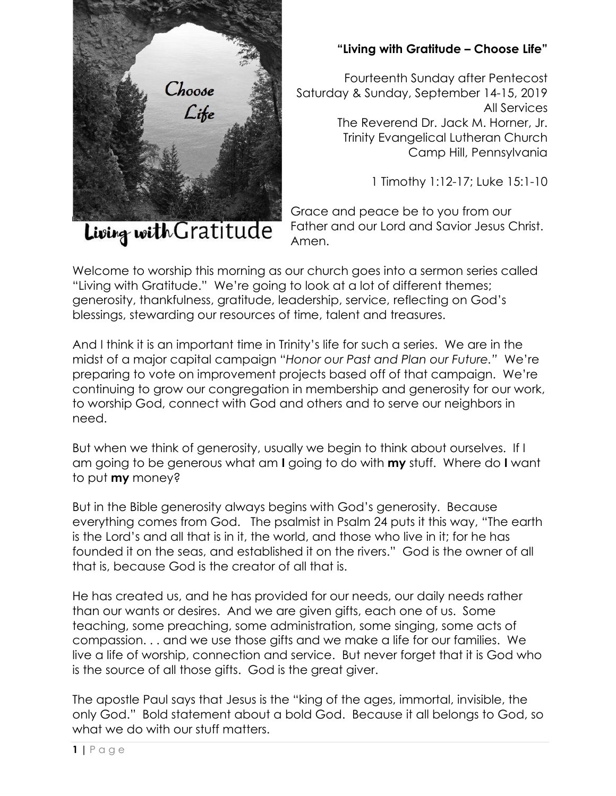

**"Living with Gratitude – Choose Life"**

Fourteenth Sunday after Pentecost Saturday & Sunday, September 14-15, 2019 All Services The Reverend Dr. Jack M. Horner, Jr. Trinity Evangelical Lutheran Church Camp Hill, Pennsylvania

1 Timothy 1:12-17; Luke 15:1-10

Grace and peace be to you from our Father and our Lord and Savior Jesus Christ. Amen.

Welcome to worship this morning as our church goes into a sermon series called "Living with Gratitude." We're going to look at a lot of different themes; generosity, thankfulness, gratitude, leadership, service, reflecting on God's blessings, stewarding our resources of time, talent and treasures.

And I think it is an important time in Trinity's life for such a series. We are in the midst of a major capital campaign "*Honor our Past and Plan our Future."* We're preparing to vote on improvement projects based off of that campaign. We're continuing to grow our congregation in membership and generosity for our work, to worship God, connect with God and others and to serve our neighbors in need.

But when we think of generosity, usually we begin to think about ourselves. If I am going to be generous what am **I** going to do with **my** stuff. Where do **I** want to put **my** money?

But in the Bible generosity always begins with God's generosity. Because everything comes from God. The psalmist in Psalm 24 puts it this way, "The earth is the Lord's and all that is in it, the world, and those who live in it; for he has founded it on the seas, and established it on the rivers." God is the owner of all that is, because God is the creator of all that is.

He has created us, and he has provided for our needs, our daily needs rather than our wants or desires. And we are given gifts, each one of us. Some teaching, some preaching, some administration, some singing, some acts of compassion. . . and we use those gifts and we make a life for our families. We live a life of worship, connection and service. But never forget that it is God who is the source of all those gifts. God is the great giver.

The apostle Paul says that Jesus is the "king of the ages, immortal, invisible, the only God." Bold statement about a bold God. Because it all belongs to God, so what we do with our stuff matters.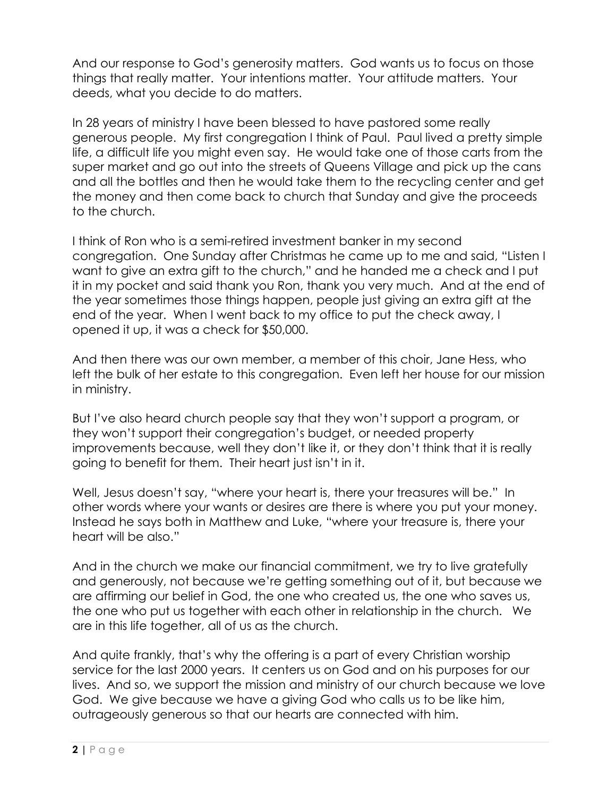And our response to God's generosity matters. God wants us to focus on those things that really matter. Your intentions matter. Your attitude matters. Your deeds, what you decide to do matters.

In 28 years of ministry I have been blessed to have pastored some really generous people. My first congregation I think of Paul. Paul lived a pretty simple life, a difficult life you might even say. He would take one of those carts from the super market and go out into the streets of Queens Village and pick up the cans and all the bottles and then he would take them to the recycling center and get the money and then come back to church that Sunday and give the proceeds to the church.

I think of Ron who is a semi-retired investment banker in my second congregation. One Sunday after Christmas he came up to me and said, "Listen I want to give an extra gift to the church," and he handed me a check and I put it in my pocket and said thank you Ron, thank you very much. And at the end of the year sometimes those things happen, people just giving an extra gift at the end of the year. When I went back to my office to put the check away, I opened it up, it was a check for \$50,000.

And then there was our own member, a member of this choir, Jane Hess, who left the bulk of her estate to this congregation. Even left her house for our mission in ministry.

But I've also heard church people say that they won't support a program, or they won't support their congregation's budget, or needed property improvements because, well they don't like it, or they don't think that it is really going to benefit for them. Their heart just isn't in it.

Well, Jesus doesn't say, "where your heart is, there your treasures will be." In other words where your wants or desires are there is where you put your money. Instead he says both in Matthew and Luke, "where your treasure is, there your heart will be also."

And in the church we make our financial commitment, we try to live gratefully and generously, not because we're getting something out of it, but because we are affirming our belief in God, the one who created us, the one who saves us, the one who put us together with each other in relationship in the church. We are in this life together, all of us as the church.

And quite frankly, that's why the offering is a part of every Christian worship service for the last 2000 years. It centers us on God and on his purposes for our lives. And so, we support the mission and ministry of our church because we love God. We give because we have a giving God who calls us to be like him, outrageously generous so that our hearts are connected with him.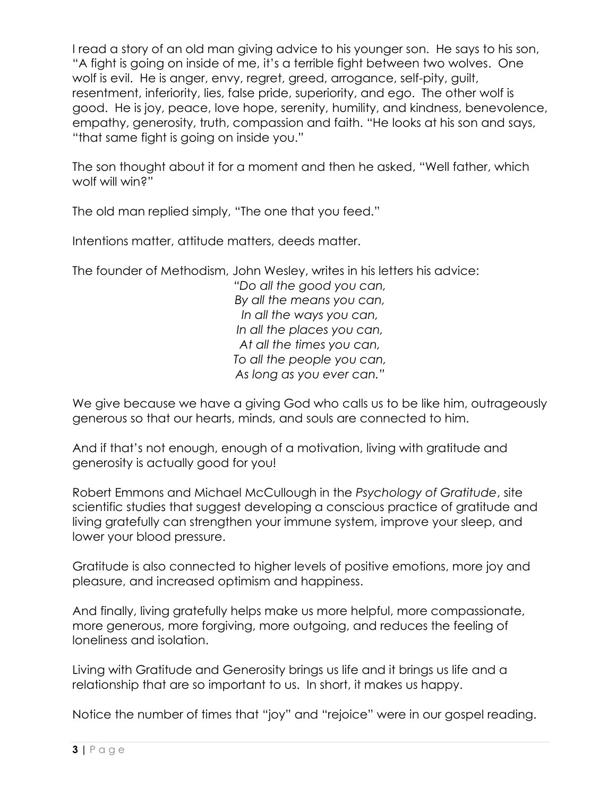I read a story of an old man giving advice to his younger son. He says to his son, "A fight is going on inside of me, it's a terrible fight between two wolves. One wolf is evil. He is anger, envy, regret, greed, arrogance, self-pity, guilt, resentment, inferiority, lies, false pride, superiority, and ego. The other wolf is good. He is joy, peace, love hope, serenity, humility, and kindness, benevolence, empathy, generosity, truth, compassion and faith. "He looks at his son and says, "that same fight is going on inside you."

The son thought about it for a moment and then he asked, "Well father, which wolf will win?"

The old man replied simply, "The one that you feed."

Intentions matter, attitude matters, deeds matter.

The founder of Methodism, John Wesley, writes in his letters his advice:

*"Do all the good you can, By all the means you can, In all the ways you can, In all the places you can, At all the times you can, To all the people you can, As long as you ever can."*

We give because we have a giving God who calls us to be like him, outrageously generous so that our hearts, minds, and souls are connected to him.

And if that's not enough, enough of a motivation, living with gratitude and generosity is actually good for you!

Robert Emmons and Michael McCullough in the *Psychology of Gratitude*, site scientific studies that suggest developing a conscious practice of gratitude and living gratefully can strengthen your immune system, improve your sleep, and lower your blood pressure.

Gratitude is also connected to higher levels of positive emotions, more joy and pleasure, and increased optimism and happiness.

And finally, living gratefully helps make us more helpful, more compassionate, more generous, more forgiving, more outgoing, and reduces the feeling of loneliness and isolation.

Living with Gratitude and Generosity brings us life and it brings us life and a relationship that are so important to us. In short, it makes us happy.

Notice the number of times that "joy" and "rejoice" were in our gospel reading.